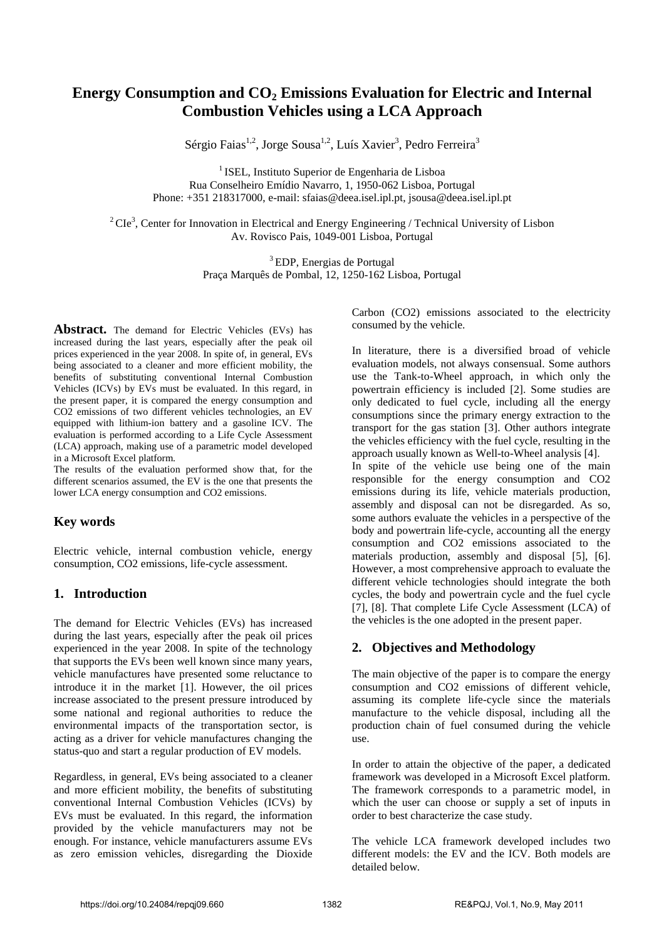# **Energy Consumption and CO2 Emissions Evaluation for Electric and Internal Combustion Vehicles using a LCA Approach**

Sérgio Faias<sup>1,2</sup>, Jorge Sousa<sup>1,2</sup>, Luís Xavier<sup>3</sup>, Pedro Ferreira<sup>3</sup>

 $<sup>1</sup>$  ISEL. Instituto Superior de Engenharia de Lisboa</sup> Rua Conselheiro Emídio Navarro, 1, 1950-062 Lisboa, Portugal Phone: +351 218317000, e-mail: sfaias@deea.isel.ipl.pt, jsousa@deea.isel.ipl.pt

 $2^2$ CIe<sup>3</sup>, Center for Innovation in Electrical and Energy Engineering / Technical University of Lisbon Av. Rovisco Pais, 1049-001 Lisboa, Portugal

> <sup>3</sup>EDP, Energias de Portugal Praça Marquês de Pombal, 12, 1250-162 Lisboa, Portugal

Abstract. The demand for Electric Vehicles (EVs) has increased during the last years, especially after the peak oil prices experienced in the year 2008. In spite of, in general, EVs being associated to a cleaner and more efficient mobility, the benefits of substituting conventional Internal Combustion Vehicles (ICVs) by EVs must be evaluated. In this regard, in the present paper, it is compared the energy consumption and CO2 emissions of two different vehicles technologies, an EV equipped with lithium-ion battery and a gasoline ICV. The evaluation is performed according to a Life Cycle Assessment (LCA) approach, making use of a parametric model developed in a Microsoft Excel platform.

The results of the evaluation performed show that, for the different scenarios assumed, the EV is the one that presents the lower LCA energy consumption and CO2 emissions.

## **Key words**

Electric vehicle, internal combustion vehicle, energy consumption, CO2 emissions, life-cycle assessment.

## **1. Introduction**

The demand for Electric Vehicles (EVs) has increased during the last years, especially after the peak oil prices experienced in the year 2008. In spite of the technology that supports the EVs been well known since many years, vehicle manufactures have presented some reluctance to introduce it in the market [1]. However, the oil prices increase associated to the present pressure introduced by some national and regional authorities to reduce the environmental impacts of the transportation sector, is acting as a driver for vehicle manufactures changing the status-quo and start a regular production of EV models.

Regardless, in general, EVs being associated to a cleaner and more efficient mobility, the benefits of substituting conventional Internal Combustion Vehicles (ICVs) by EVs must be evaluated. In this regard, the information provided by the vehicle manufacturers may not be enough. For instance, vehicle manufacturers assume EVs as zero emission vehicles, disregarding the Dioxide Carbon (CO2) emissions associated to the electricity consumed by the vehicle.

In literature, there is a diversified broad of vehicle evaluation models, not always consensual. Some authors use the Tank-to-Wheel approach, in which only the powertrain efficiency is included [2]. Some studies are only dedicated to fuel cycle, including all the energy consumptions since the primary energy extraction to the transport for the gas station [3]. Other authors integrate the vehicles efficiency with the fuel cycle, resulting in the approach usually known as Well-to-Wheel analysis [4]. In spite of the vehicle use being one of the main responsible for the energy consumption and CO2 emissions during its life, vehicle materials production, assembly and disposal can not be disregarded. As so, some authors evaluate the vehicles in a perspective of the body and powertrain life-cycle, accounting all the energy consumption and CO2 emissions associated to the materials production, assembly and disposal [5], [6]. However, a most comprehensive approach to evaluate the different vehicle technologies should integrate the both cycles, the body and powertrain cycle and the fuel cycle [7], [8]. That complete Life Cycle Assessment (LCA) of the vehicles is the one adopted in the present paper.

## **2. Objectives and Methodology**

The main objective of the paper is to compare the energy consumption and CO2 emissions of different vehicle, assuming its complete life-cycle since the materials manufacture to the vehicle disposal, including all the production chain of fuel consumed during the vehicle use.

In order to attain the objective of the paper, a dedicated framework was developed in a Microsoft Excel platform. The framework corresponds to a parametric model, in which the user can choose or supply a set of inputs in order to best characterize the case study.

The vehicle LCA framework developed includes two different models: the EV and the ICV. Both models are detailed below.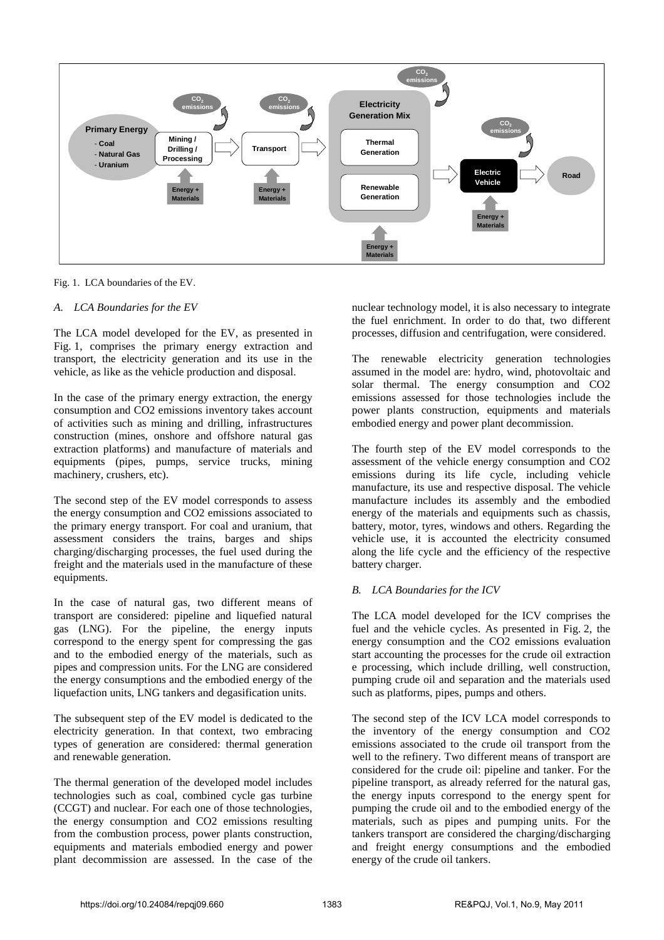

Fig. 1. LCA boundaries of the EV.

#### *A. LCA Boundaries for the EV*

The LCA model developed for the EV, as presented in Fig. 1, comprises the primary energy extraction and transport, the electricity generation and its use in the vehicle, as like as the vehicle production and disposal.

In the case of the primary energy extraction, the energy consumption and CO2 emissions inventory takes account of activities such as mining and drilling, infrastructures construction (mines, onshore and offshore natural gas extraction platforms) and manufacture of materials and equipments (pipes, pumps, service trucks, mining machinery, crushers, etc).

The second step of the EV model corresponds to assess the energy consumption and CO2 emissions associated to the primary energy transport. For coal and uranium, that assessment considers the trains, barges and ships charging/discharging processes, the fuel used during the freight and the materials used in the manufacture of these equipments.

In the case of natural gas, two different means of transport are considered: pipeline and liquefied natural gas (LNG). For the pipeline, the energy inputs correspond to the energy spent for compressing the gas and to the embodied energy of the materials, such as pipes and compression units. For the LNG are considered the energy consumptions and the embodied energy of the liquefaction units, LNG tankers and degasification units.

The subsequent step of the EV model is dedicated to the electricity generation. In that context, two embracing types of generation are considered: thermal generation and renewable generation.

The thermal generation of the developed model includes technologies such as coal, combined cycle gas turbine (CCGT) and nuclear. For each one of those technologies, the energy consumption and CO2 emissions resulting from the combustion process, power plants construction, equipments and materials embodied energy and power plant decommission are assessed. In the case of the nuclear technology model, it is also necessary to integrate the fuel enrichment. In order to do that, two different processes, diffusion and centrifugation, were considered.

The renewable electricity generation technologies assumed in the model are: hydro, wind, photovoltaic and solar thermal. The energy consumption and CO2 emissions assessed for those technologies include the power plants construction, equipments and materials embodied energy and power plant decommission.

The fourth step of the EV model corresponds to the assessment of the vehicle energy consumption and CO2 emissions during its life cycle, including vehicle manufacture, its use and respective disposal. The vehicle manufacture includes its assembly and the embodied energy of the materials and equipments such as chassis, battery, motor, tyres, windows and others. Regarding the vehicle use, it is accounted the electricity consumed along the life cycle and the efficiency of the respective battery charger.

#### *B. LCA Boundaries for the ICV*

The LCA model developed for the ICV comprises the fuel and the vehicle cycles. As presented in Fig. 2, the energy consumption and the CO2 emissions evaluation start accounting the processes for the crude oil extraction e processing, which include drilling, well construction, pumping crude oil and separation and the materials used such as platforms, pipes, pumps and others.

The second step of the ICV LCA model corresponds to the inventory of the energy consumption and CO2 emissions associated to the crude oil transport from the well to the refinery. Two different means of transport are considered for the crude oil: pipeline and tanker. For the pipeline transport, as already referred for the natural gas, the energy inputs correspond to the energy spent for pumping the crude oil and to the embodied energy of the materials, such as pipes and pumping units. For the tankers transport are considered the charging/discharging and freight energy consumptions and the embodied energy of the crude oil tankers.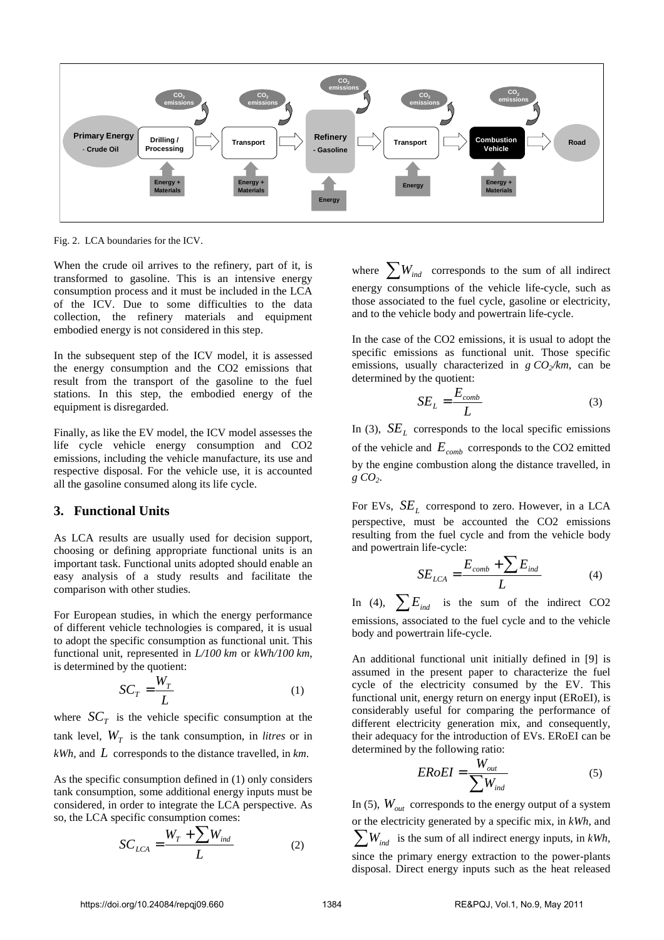

Fig. 2. LCA boundaries for the ICV.

When the crude oil arrives to the refinery, part of it, is transformed to gasoline. This is an intensive energy consumption process and it must be included in the LCA of the ICV. Due to some difficulties to the data collection, the refinery materials and equipment embodied energy is not considered in this step.

In the subsequent step of the ICV model, it is assessed the energy consumption and the CO2 emissions that result from the transport of the gasoline to the fuel stations. In this step, the embodied energy of the equipment is disregarded.

Finally, as like the EV model, the ICV model assesses the life cycle vehicle energy consumption and CO2 emissions, including the vehicle manufacture, its use and respective disposal. For the vehicle use, it is accounted all the gasoline consumed along its life cycle.

### **3. Functional Units**

As LCA results are usually used for decision support, choosing or defining appropriate functional units is an important task. Functional units adopted should enable an easy analysis of a study results and facilitate the comparison with other studies.

For European studies, in which the energy performance of different vehicle technologies is compared, it is usual to adopt the specific consumption as functional unit. This functional unit, represented in *L/100 km* or *kWh/100 km*, is determined by the quotient:

$$
SC_T = \frac{W_T}{L} \tag{1}
$$

where  $SC_T$  is the vehicle specific consumption at the tank level,  $W_T$  is the tank consumption, in *litres* or in *kWh,* and *L* corresponds to the distance travelled, in *km*.

As the specific consumption defined in (1) only considers tank consumption, some additional energy inputs must be considered, in order to integrate the LCA perspective. As so, the LCA specific consumption comes:

$$
SC_{LCA} = \frac{W_T + \sum W_{ind}}{L}
$$
 (2)

where  $\sum W_{ind}$  corresponds to the sum of all indirect energy consumptions of the vehicle life-cycle, such as those associated to the fuel cycle, gasoline or electricity, and to the vehicle body and powertrain life-cycle.

In the case of the CO2 emissions, it is usual to adopt the specific emissions as functional unit. Those specific emissions, usually characterized in *g CO2/km*, can be determined by the quotient:

$$
SE_L = \frac{E_{comb}}{L}
$$
 (3)

In (3),  $SE<sub>L</sub>$  corresponds to the local specific emissions of the vehicle and *Ecomb* corresponds to the CO2 emitted by the engine combustion along the distance travelled, in *g CO2*.

For EVs,  $SE<sub>L</sub>$  correspond to zero. However, in a LCA perspective, must be accounted the CO2 emissions resulting from the fuel cycle and from the vehicle body and powertrain life-cycle:

$$
SE_{LCA} = \frac{E_{comb} + \sum E_{ind}}{L}
$$
 (4)

In (4),  $\sum E_{ind}$  is the sum of the indirect CO2 emissions, associated to the fuel cycle and to the vehicle body and powertrain life-cycle.

An additional functional unit initially defined in [9] is assumed in the present paper to characterize the fuel cycle of the electricity consumed by the EV. This functional unit, energy return on energy input (ERoEI), is considerably useful for comparing the performance of different electricity generation mix, and consequently, their adequacy for the introduction of EVs. ERoEI can be determined by the following ratio:

$$
ERoEI = \frac{W_{out}}{\sum W_{ind}}\tag{5}
$$

In (5),  $W_{out}$  corresponds to the energy output of a system or the electricity generated by a specific mix, in *kWh*, and  $\sum_{i=1}^{n} W_{ind}$  is the sum of all indirect energy inputs, in *kWh*, since the primary energy extraction to the power-plants disposal. Direct energy inputs such as the heat released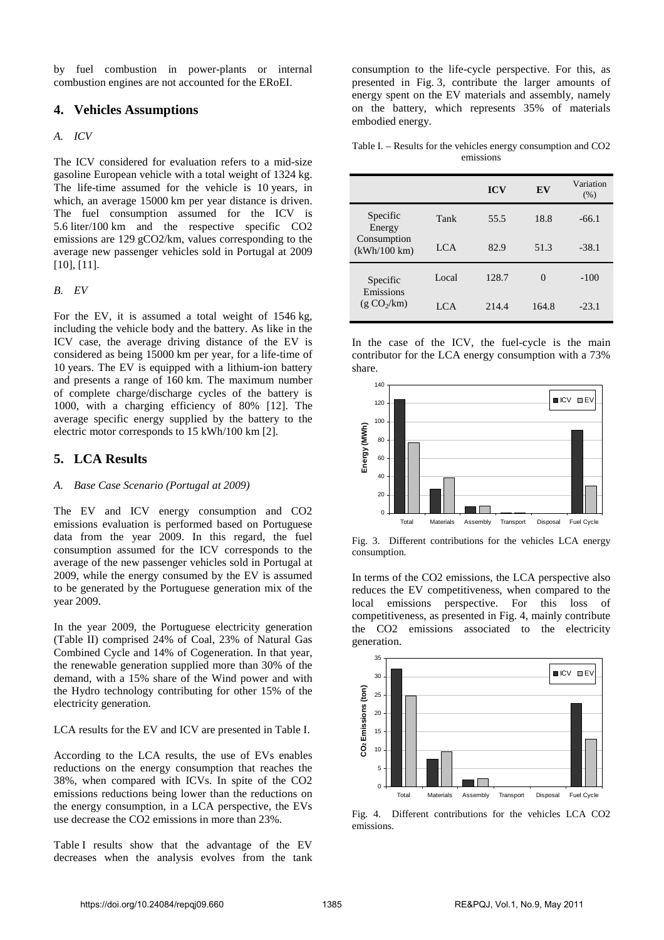by fuel combustion in power-plants or internal combustion engines are not accounted for the ERoEI.

#### **4. Vehicles Assumptions**

#### *A. ICV*

The ICV considered for evaluation refers to a mid-size gasoline European vehicle with a total weight of 1324 kg. The life-time assumed for the vehicle is 10 years, in which, an average 15000 km per year distance is driven. The fuel consumption assumed for the ICV is 5.6 liter/100 km and the respective specific CO2 emissions are 129 gCO2/km, values corresponding to the average new passenger vehicles sold in Portugal at 2009 [10], [11].

#### *B. EV*

For the EV, it is assumed a total weight of 1546 kg, including the vehicle body and the battery. As like in the ICV case, the average driving distance of the EV is considered as being 15000 km per year, for a life-time of 10 years. The EV is equipped with a lithium-ion battery and presents a range of 160 km. The maximum number of complete charge/discharge cycles of the battery is 1000, with a charging efficiency of 80% [12]. The average specific energy supplied by the battery to the electric motor corresponds to 15 kWh/100 km [2].

### **5. LCA Results**

#### *A. Base Case Scenario (Portugal at 2009)*

The EV and ICV energy consumption and CO2 emissions evaluation is performed based on Portuguese data from the year 2009. In this regard, the fuel consumption assumed for the ICV corresponds to the average of the new passenger vehicles sold in Portugal at 2009, while the energy consumed by the EV is assumed to be generated by the Portuguese generation mix of the year 2009.

In the year 2009, the Portuguese electricity generation (Table II) comprised 24% of Coal, 23% of Natural Gas Combined Cycle and 14% of Cogeneration. In that year, the renewable generation supplied more than 30% of the demand, with a 15% share of the Wind power and with the Hydro technology contributing for other 15% of the electricity generation.

LCA results for the EV and ICV are presented in Table I.

According to the LCA results, the use of EVs enables reductions on the energy consumption that reaches the 38%, when compared with ICVs. In spite of the CO2 emissions reductions being lower than the reductions on the energy consumption, in a LCA perspective, the EVs use decrease the CO2 emissions in more than 23%.

Table I results show that the advantage of the EV decreases when the analysis evolves from the tank consumption to the life-cycle perspective. For this, as presented in Fig. 3, contribute the larger amounts of energy spent on the EV materials and assembly, namely on the battery, which represents 35% of materials embodied energy.

Table I. – Results for the vehicles energy consumption and CO2 emissions

|                                                   |       | <b>ICV</b> | EV       | Variation<br>(% ) |
|---------------------------------------------------|-------|------------|----------|-------------------|
| Specific<br>Energy<br>Consumption<br>(kWh/100 km) | Tank  | 55.5       | 18.8     | $-66.1$           |
|                                                   | LCA   | 82.9       | 51.3     | $-38.1$           |
| Specific<br>Emissions<br>(g CO <sub>2</sub> /km)  | Local | 128.7      | $\Omega$ | $-100$            |
|                                                   | LCA   | 214.4      | 164.8    | $-23.1$           |

In the case of the ICV, the fuel-cycle is the main contributor for the LCA energy consumption with a 73% share.



Fig. 3. Different contributions for the vehicles LCA energy consumption.

In terms of the CO2 emissions, the LCA perspective also reduces the EV competitiveness, when compared to the local emissions perspective. For this loss of competitiveness, as presented in Fig. 4, mainly contribute the CO2 emissions associated to the electricity generation.



Fig. 4. Different contributions for the vehicles LCA CO2 emissions.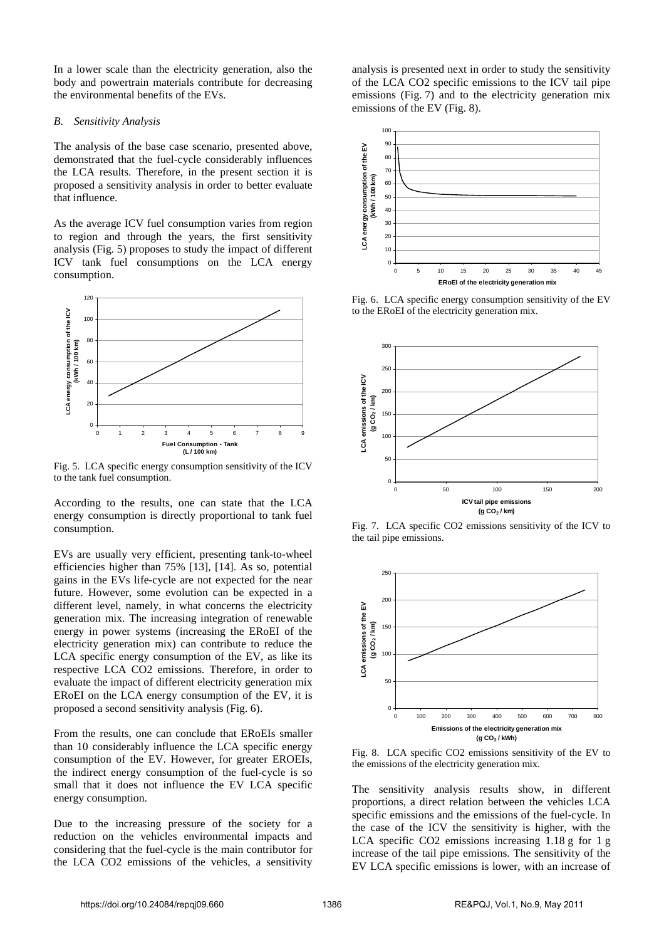In a lower scale than the electricity generation, also the body and powertrain materials contribute for decreasing the environmental benefits of the EVs.

#### *B. Sensitivity Analysis*

The analysis of the base case scenario, presented above, demonstrated that the fuel-cycle considerably influences the LCA results. Therefore, in the present section it is proposed a sensitivity analysis in order to better evaluate that influence.

As the average ICV fuel consumption varies from region to region and through the years, the first sensitivity analysis (Fig. 5) proposes to study the impact of different ICV tank fuel consumptions on the LCA energy consumption.



Fig. 5. LCA specific energy consumption sensitivity of the ICV to the tank fuel consumption.

According to the results, one can state that the LCA energy consumption is directly proportional to tank fuel consumption.

EVs are usually very efficient, presenting tank-to-wheel efficiencies higher than 75% [13], [14]. As so, potential gains in the EVs life-cycle are not expected for the near future. However, some evolution can be expected in a different level, namely, in what concerns the electricity generation mix. The increasing integration of renewable energy in power systems (increasing the ERoEI of the electricity generation mix) can contribute to reduce the LCA specific energy consumption of the EV, as like its respective LCA CO2 emissions. Therefore, in order to evaluate the impact of different electricity generation mix ERoEI on the LCA energy consumption of the EV, it is proposed a second sensitivity analysis (Fig. 6).

From the results, one can conclude that ERoEIs smaller than 10 considerably influence the LCA specific energy consumption of the EV. However, for greater EROEIs, the indirect energy consumption of the fuel-cycle is so small that it does not influence the EV LCA specific energy consumption.

Due to the increasing pressure of the society for a reduction on the vehicles environmental impacts and considering that the fuel-cycle is the main contributor for the LCA CO2 emissions of the vehicles, a sensitivity analysis is presented next in order to study the sensitivity of the LCA CO2 specific emissions to the ICV tail pipe emissions (Fig. 7) and to the electricity generation mix emissions of the EV (Fig. 8).



Fig. 6. LCA specific energy consumption sensitivity of the EV to the ERoEI of the electricity generation mix.



Fig. 7. LCA specific CO2 emissions sensitivity of the ICV to the tail pipe emissions.



Fig. 8. LCA specific CO2 emissions sensitivity of the EV to the emissions of the electricity generation mix.

The sensitivity analysis results show, in different proportions, a direct relation between the vehicles LCA specific emissions and the emissions of the fuel-cycle. In the case of the ICV the sensitivity is higher, with the LCA specific CO2 emissions increasing 1.18 g for 1 g increase of the tail pipe emissions. The sensitivity of the EV LCA specific emissions is lower, with an increase of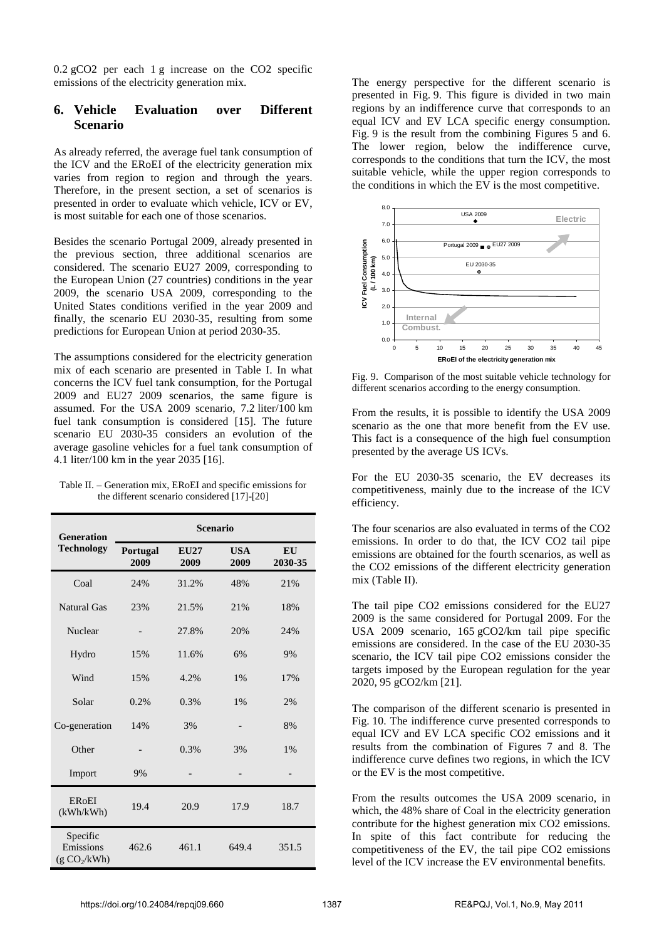0.2 gCO2 per each 1 g increase on the CO2 specific emissions of the electricity generation mix.

## **6. Vehicle Evaluation over Different Scenario**

As already referred, the average fuel tank consumption of the ICV and the ERoEI of the electricity generation mix varies from region to region and through the years. Therefore, in the present section, a set of scenarios is presented in order to evaluate which vehicle, ICV or EV, is most suitable for each one of those scenarios.

Besides the scenario Portugal 2009, already presented in the previous section, three additional scenarios are considered. The scenario EU27 2009, corresponding to the European Union (27 countries) conditions in the year 2009, the scenario USA 2009, corresponding to the United States conditions verified in the year 2009 and finally, the scenario EU 2030-35, resulting from some predictions for European Union at period 2030-35.

The assumptions considered for the electricity generation mix of each scenario are presented in Table I. In what concerns the ICV fuel tank consumption, for the Portugal 2009 and EU27 2009 scenarios, the same figure is assumed. For the USA 2009 scenario, 7.2 liter/100 km fuel tank consumption is considered [15]. The future scenario EU 2030-35 considers an evolution of the average gasoline vehicles for a fuel tank consumption of 4.1 liter/100 km in the year 2035 [16].

| Table II. – Generation mix, ERoEI and specific emissions for |
|--------------------------------------------------------------|
| the different scenario considered [17]-[20]                  |

| <b>Generation</b><br><b>Technology</b>            | <b>Scenario</b>  |                     |                    |               |  |
|---------------------------------------------------|------------------|---------------------|--------------------|---------------|--|
|                                                   | Portugal<br>2009 | <b>EU27</b><br>2009 | <b>USA</b><br>2009 | EU<br>2030-35 |  |
| Coal                                              | 24%              | 31.2%               | 48%                | 21%           |  |
| <b>Natural Gas</b>                                | 23%              | 21.5%               | 21%                | 18%           |  |
| Nuclear                                           |                  | 27.8%               | 20%                | 24%           |  |
| Hydro                                             | 15%              | 11.6%               | 6%                 | 9%            |  |
| Wind                                              | 15%              | 4.2%                | $1\%$              | 17%           |  |
| Solar                                             | 0.2%             | 0.3%                | $1\%$              | 2%            |  |
| Co-generation                                     | 14%              | 3%                  |                    | 8%            |  |
| Other                                             |                  | 0.3%                | 3%                 | $1\%$         |  |
| Import                                            | 9%               |                     |                    |               |  |
| <b>ERoEI</b><br>(kWh/kWh)                         | 19.4             | 20.9                | 17.9               | 18.7          |  |
| Specific<br>Emissions<br>(g CO <sub>2</sub> /kWh) | 462.6            | 461.1               | 649.4              | 351.5         |  |

The energy perspective for the different scenario is presented in Fig. 9. This figure is divided in two main regions by an indifference curve that corresponds to an equal ICV and EV LCA specific energy consumption. Fig. 9 is the result from the combining Figures 5 and 6. The lower region, below the indifference curve, corresponds to the conditions that turn the ICV, the most suitable vehicle, while the upper region corresponds to the conditions in which the EV is the most competitive.



Fig. 9. Comparison of the most suitable vehicle technology for different scenarios according to the energy consumption.

From the results, it is possible to identify the USA 2009 scenario as the one that more benefit from the EV use. This fact is a consequence of the high fuel consumption presented by the average US ICVs.

For the EU 2030-35 scenario, the EV decreases its competitiveness, mainly due to the increase of the ICV efficiency.

The four scenarios are also evaluated in terms of the CO2 emissions. In order to do that, the ICV CO2 tail pipe emissions are obtained for the fourth scenarios, as well as the CO2 emissions of the different electricity generation mix (Table II).

The tail pipe CO2 emissions considered for the EU27 2009 is the same considered for Portugal 2009. For the USA 2009 scenario, 165 gCO2/km tail pipe specific emissions are considered. In the case of the EU 2030-35 scenario, the ICV tail pipe CO2 emissions consider the targets imposed by the European regulation for the year 2020, 95 gCO2/km [21].

The comparison of the different scenario is presented in Fig. 10. The indifference curve presented corresponds to equal ICV and EV LCA specific CO2 emissions and it results from the combination of Figures 7 and 8. The indifference curve defines two regions, in which the ICV or the EV is the most competitive.

From the results outcomes the USA 2009 scenario, in which, the 48% share of Coal in the electricity generation contribute for the highest generation mix CO2 emissions. In spite of this fact contribute for reducing the competitiveness of the EV, the tail pipe CO2 emissions level of the ICV increase the EV environmental benefits.